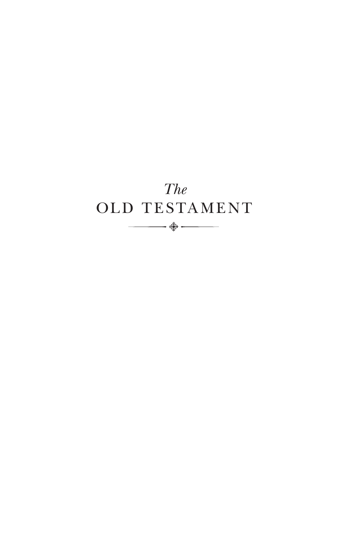## *The* OLD TESTAMENT $\begin{array}{c}\n\hline\n\downarrow^{\text{th}}\n\end{array}$   $\begin{array}{c}\n\downarrow^{\text{th}}\n\downarrow^{\text{th}}\n\downarrow^{\text{th}}\n\end{array}$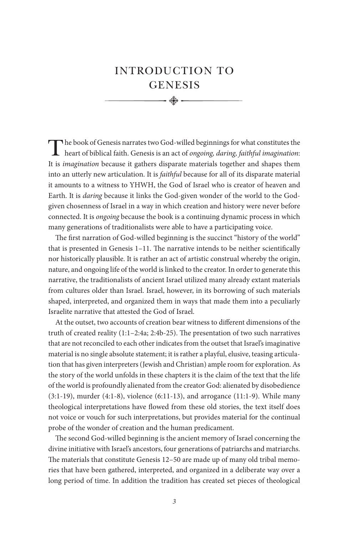### INTRODUCTION TO **GENESIS**

The book of Genesis narrates two God-willed beginnings for what constitutes the heart of biblical faith. Genesis is an act of *ongoing, daring, faithful imagination*: It is *imagination* because it gathers disparate materials together and shapes them into an utterly new articulation. It is *faithful* because for all of its disparate material it amounts to a witness to YHWH, the God of Israel who is creator of heaven and Earth. It is *daring* because it links the God-given wonder of the world to the Godgiven chosenness of Israel in a way in which creation and history were never before connected. It is *ongoing* because the book is a continuing dynamic process in which many generations of traditionalists were able to have a participating voice.

The first narration of God-willed beginning is the succinct "history of the world" that is presented in Genesis 1–11. The narrative intends to be neither scientifically nor historically plausible. It is rather an act of artistic construal whereby the origin, nature, and ongoing life of the world is linked to the creator. In order to generate this narrative, the traditionalists of ancient Israel utilized many already extant materials from cultures older than Israel. Israel, however, in its borrowing of such materials shaped, interpreted, and organized them in ways that made them into a peculiarly Israelite narrative that attested the God of Israel.

At the outset, two accounts of creation bear witness to different dimensions of the truth of created reality (1:1–2:4a; 2:4b-25). The presentation of two such narratives that are not reconciled to each other indicates from the outset that Israel's imaginative material is no single absolute statement; it is rather a playful, elusive, teasing articulation that has given interpreters (Jewish and Christian) ample room for exploration. As the story of the world unfolds in these chapters it is the claim of the text that the life of the world is profoundly alienated from the creator God: alienated by disobedience  $(3:1-19)$ , murder  $(4:1-8)$ , violence  $(6:11-13)$ , and arrogance  $(11:1-9)$ . While many theological interpretations have flowed from these old stories, the text itself does not voice or vouch for such interpretations, but provides material for the continual probe of the wonder of creation and the human predicament.

The second God-willed beginning is the ancient memory of Israel concerning the divine initiative with Israel's ancestors, four generations of patriarchs and matriarchs. The materials that constitute Genesis 12–50 are made up of many old tribal memories that have been gathered, interpreted, and organized in a deliberate way over a long period of time. In addition the tradition has created set pieces of theological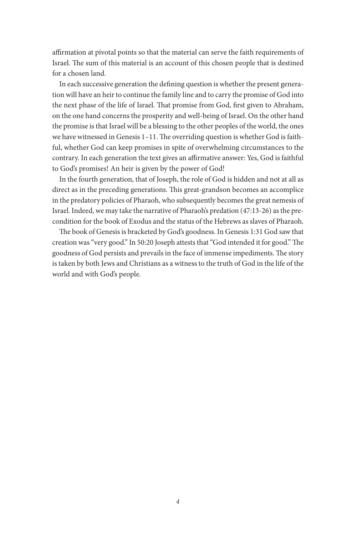affirmation at pivotal points so that the material can serve the faith requirements of Israel. The sum of this material is an account of this chosen people that is destined for a chosen land.

In each successive generation the defining question is whether the present generation will have an heir to continue the family line and to carry the promise of God into the next phase of the life of Israel. That promise from God, first given to Abraham, on the one hand concerns the prosperity and well-being of Israel. On the other hand the promise is that Israel will be a blessing to the other peoples of the world, the ones we have witnessed in Genesis 1–11. The overriding question is whether God is faithful, whether God can keep promises in spite of overwhelming circumstances to the contrary. In each generation the text gives an affirmative answer: Yes, God is faithful to God's promises! An heir is given by the power of God!

In the fourth generation, that of Joseph, the role of God is hidden and not at all as direct as in the preceding generations. This great-grandson becomes an accomplice in the predatory policies of Pharaoh, who subsequently becomes the great nemesis of Israel. Indeed, we may take the narrative of Pharaoh's predation (47:13-26) as the precondition for the book of Exodus and the status of the Hebrews as slaves of Pharaoh.

The book of Genesis is bracketed by God's goodness. In Genesis 1:31 God saw that creation was "very good." In 50:20 Joseph attests that "God intended it for good." The goodness of God persists and prevails in the face of immense impediments. The story is taken by both Jews and Christians as a witness to the truth of God in the life of the world and with God's people.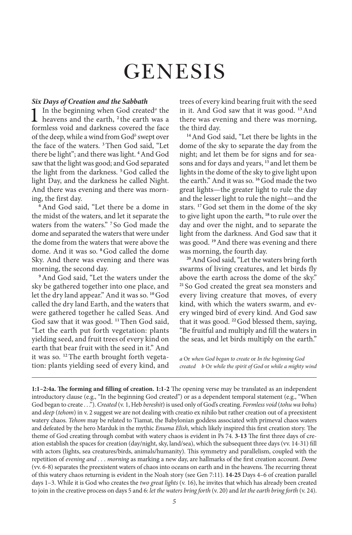# **GENESIS**

#### *Six Days of Creation and the Sabbath*

1 In the beginning when God created*<sup>a</sup>* heavens and the earth, **<sup>2</sup>** the earth was a In the beginning when God created<sup>a</sup> the formless void and darkness covered the face of the deep, while a wind from God*<sup>b</sup>* swept over the face of the waters. **<sup>3</sup>**Then God said, "Let there be light"; and there was light. **<sup>4</sup>**And God saw that the light was good; and God separated the light from the darkness. **<sup>5</sup>**God called the light Day, and the darkness he called Night. And there was evening and there was morning, the first day.

**<sup>6</sup>**And God said, "Let there be a dome in the midst of the waters, and let it separate the waters from the waters." **<sup>7</sup>** So God made the dome and separated the waters that were under the dome from the waters that were above the dome. And it was so. **<sup>8</sup>**God called the dome Sky. And there was evening and there was morning, the second day.

**<sup>9</sup>**And God said, "Let the waters under the sky be gathered together into one place, and let the dry land appear." And it was so. **<sup>10</sup>**God called the dry land Earth, and the waters that were gathered together he called Seas. And God saw that it was good. **<sup>11</sup>**Then God said, "Let the earth put forth vegetation: plants yielding seed, and fruit trees of every kind on earth that bear fruit with the seed in it." And it was so. **12**The earth brought forth vegetation: plants yielding seed of every kind, and

trees of every kind bearing fruit with the seed in it. And God saw that it was good. **<sup>13</sup>**And there was evening and there was morning, the third day.

**<sup>14</sup>**And God said, "Let there be lights in the dome of the sky to separate the day from the night; and let them be for signs and for seasons and for days and years, **<sup>15</sup>** and let them be lights in the dome of the sky to give light upon the earth." And it was so. **<sup>16</sup>**God made the two great lights—the greater light to rule the day and the lesser light to rule the night—and the stars. **<sup>17</sup>**God set them in the dome of the sky to give light upon the earth, **<sup>18</sup>** to rule over the day and over the night, and to separate the light from the darkness. And God saw that it was good. **<sup>19</sup>**And there was evening and there was morning, the fourth day.

**<sup>20</sup>**And God said, "Let the waters bring forth swarms of living creatures, and let birds fly above the earth across the dome of the sky." **<sup>21</sup>** So God created the great sea monsters and every living creature that moves, of every kind, with which the waters swarm, and every winged bird of every kind. And God saw that it was good. **<sup>22</sup>**God blessed them, saying, "Be fruitful and multiply and fill the waters in the seas, and let birds multiply on the earth."

*a* Or *when God began to create* or *In the beginning God created b* Or *while the spirit of God* or *while a mighty wind*

**1:1–2:4a. The forming and filling of creation. 1:1-2** The opening verse may be translated as an independent introductory clause (e.g., "In the beginning God created") or as a dependent temporal statement (e.g., "When God began to create . . ."). *Created* (v. 1, Heb *bereshit*) is used only of God's creating. *Formless void* (*tohu wa bohu*) and *deep* (*tehom*) in v. 2 suggest we are not dealing with creatio ex nihilo but rather creation out of a preexistent watery chaos. *Tehom* may be related to Tiamat, the Babylonian goddess associated with primeval chaos waters and defeated by the hero Marduk in the mythic *Enuma Elish*, which likely inspired this first creation story. The theme of God creating through combat with watery chaos is evident in Ps 74. **3-13** The first three days of creation establish the spaces for creation (day/night, sky, land/sea), which the subsequent three days (vv. 14-31) fill with actors (lights, sea creatures/birds, animals/humanity). This symmetry and parallelism, coupled with the repetition of *evening and . . . morning* as marking a new day, are hallmarks of the first creation account. *Dome* (vv. 6-8) separates the preexistent waters of chaos into oceans on earth and in the heavens. The recurring threat of this watery chaos returning is evident in the Noah story (see Gen 7:11). **14-25** Days 4–6 of creation parallel days 1–3. While it is God who creates the *two great lights* (v. 16), he invites that which has already been created to join in the creative process on days 5 and 6: *let the waters bring forth* (v. 20) and *let the earth bring forth* (v. 24).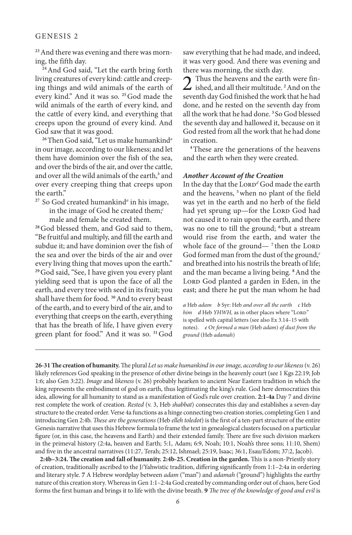**23**And there was evening and there was morning, the fifth day.

**<sup>24</sup>**And God said, "Let the earth bring forth living creatures of every kind: cattle and creeping things and wild animals of the earth of every kind." And it was so. **<sup>25</sup>**God made the wild animals of the earth of every kind, and the cattle of every kind, and everything that creeps upon the ground of every kind. And God saw that it was good.

**<sup>26</sup>**Then God said, "Let us make humankind*<sup>a</sup>* in our image, according to our likeness; and let them have dominion over the fish of the sea, and over the birds of the air, and over the cattle, and over all the wild animals of the earth,<sup>b</sup> and over every creeping thing that creeps upon the earth."

<sup>27</sup> So God created humankind<sup>a</sup> in his image, in the image of God he created them;*<sup>c</sup>* male and female he created them.

**<sup>28</sup>**God blessed them, and God said to them, "Be fruitful and multiply, and fill the earth and subdue it; and have dominion over the fish of the sea and over the birds of the air and over every living thing that moves upon the earth." **<sup>29</sup>**God said, "See, I have given you every plant yielding seed that is upon the face of all the earth, and every tree with seed in its fruit; you shall have them for food. **<sup>30</sup>**And to every beast of the earth, and to every bird of the air, and to everything that creeps on the earth, everything that has the breath of life, I have given every green plant for food." And it was so. **<sup>31</sup>**God saw everything that he had made, and indeed, it was very good. And there was evening and there was morning, the sixth day.<br>
Thus the heavens and the earth were fin-

2 Thus the heavens and the earth were fin-ished, and all their multitude. **<sup>2</sup>**And on the seventh day God finished the work that he had done, and he rested on the seventh day from all the work that he had done. **<sup>3</sup>** So God blessed the seventh day and hallowed it, because on it God rested from all the work that he had done in creation.

**<sup>4</sup>**These are the generations of the heavens and the earth when they were created.

#### *Another Account of the Creation*

In the day that the Lorp<sup>d</sup> God made the earth and the heavens, **<sup>5</sup>**when no plant of the field was yet in the earth and no herb of the field had yet sprung up—for the LORD God had not caused it to rain upon the earth, and there was no one to till the ground; **<sup>6</sup>** but a stream would rise from the earth, and water the whole face of the ground— $^7$  then the LORD God formed man from the dust of the ground,*<sup>e</sup>* and breathed into his nostrils the breath of life; and the man became a living being. **<sup>8</sup>**And the LORD God planted a garden in Eden, in the east; and there he put the man whom he had

*a* Heb *adam b* Syr: Heb *and over all the earth c* Heb *him d* Heb *YHWH*, as in other places where "LORD" is spelled with capital letters (see also Ex 3.14–15 with notes). *e* Or *formed a man* (Heb *adam*) *of dust from the ground* (Heb *adamah*)

**26-31The creation of humanity.** The plural *Let us make humankind in our image, according to our likeness* (v. 26) likely references God speaking in the presence of other divine beings in the heavenly court (see 1 Kgs 22:19; Job 1:6; also Gen 3:22). *Image* and *likeness* (v. 26) probably hearken to ancient Near Eastern tradition in which the king represents the embodiment of god on earth, thus legitimating the king's rule. God here democratizes this idea, allowing for all humanity to stand as a manifestation of God's rule over creation. **2:1-4a** Day 7 and divine rest complete the work of creation. *Rested* (v. 3, Heb *shabbat*) consecrates this day and establishes a seven-day structure to the created order. Verse 4a functions as a hinge connecting two creation stories, completing Gen 1 and introducing Gen 2:4b. *These are the generations* (Heb *elleh toledot*) is the first of a ten-part structure of the entire Genesis narrative that uses this Hebrew formula to frame the text in genealogical clusters focused on a particular figure (or, in this case, the heavens and Earth) and their extended family. There are five such division markers in the primeval history (2:4a, heaven and Earth; 5:1, Adam; 6:9, Noah; 10:1, Noah's three sons; 11:10, Shem) and five in the ancestral narratives (11:27, Terah; 25:12, Ishmael; 25:19, Isaac; 36:1, Esau/Edom; 37:2, Jacob).

**2:4b–3:24. The creation and fall of humanity. 2:4b-25. Creation in the garden.** This is a non-Priestly story of creation, traditionally ascribed to the J/Yahwistic tradition, differing significantly from 1:1–2:4a in ordering and literary style. **7** A Hebrew wordplay between *adam* ("man") and *adamah* ("ground") highlights the earthy nature of this creation story. Whereas in Gen 1:1–2:4a God created by commanding order out of chaos, here God forms the first human and brings it to life with the divine breath. **9** *The tree of the knowledge of good and evil* is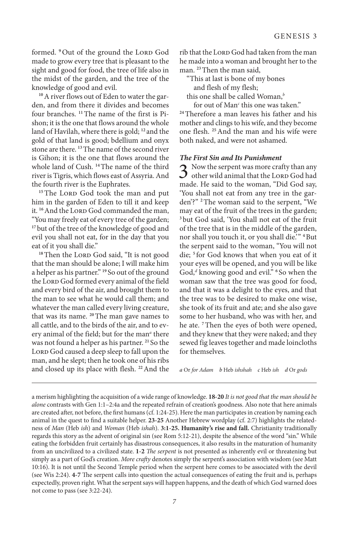formed. <sup>9</sup>Out of the ground the LORD God made to grow every tree that is pleasant to the sight and good for food, the tree of life also in the midst of the garden, and the tree of the knowledge of good and evil.

**10**A river flows out of Eden to water the garden, and from there it divides and becomes four branches. **11**The name of the first is Pishon; it is the one that flows around the whole land of Havilah, where there is gold; **<sup>12</sup>** and the gold of that land is good; bdellium and onyx stone are there. **<sup>13</sup>**The name of the second river is Gihon; it is the one that flows around the whole land of Cush. **<sup>14</sup>**The name of the third river is Tigris, which flows east of Assyria. And the fourth river is the Euphrates.

<sup>15</sup>The LORD God took the man and put him in the garden of Eden to till it and keep it. <sup>16</sup> And the LORD God commanded the man, "You may freely eat of every tree of the garden; <sup>17</sup> but of the tree of the knowledge of good and evil you shall not eat, for in the day that you eat of it you shall die."

<sup>18</sup>Then the LORD God said, "It is not good that the man should be alone; I will make him a helper as his partner." **<sup>19</sup>** So out of the ground the LORD God formed every animal of the field and every bird of the air, and brought them to the man to see what he would call them; and whatever the man called every living creature, that was its name. **<sup>20</sup>**The man gave names to all cattle, and to the birds of the air, and to every animal of the field; but for the man*<sup>a</sup>* there was not found a helper as his partner. **<sup>21</sup>** So the LORD God caused a deep sleep to fall upon the man, and he slept; then he took one of his ribs and closed up its place with flesh. **<sup>22</sup>**And the

rib that the LORD God had taken from the man he made into a woman and brought her to the man. **<sup>23</sup>**Then the man said,

"This at last is bone of my bones and flesh of my flesh;

this one shall be called Woman,*<sup>b</sup>*

for out of Man*<sup>c</sup>* this one was taken."

**<sup>24</sup>**Therefore a man leaves his father and his mother and clings to his wife, and they become one flesh. **<sup>25</sup>**And the man and his wife were both naked, and were not ashamed.

#### *The First Sin and Its Punishment*

 $3$  Now the serpent was more crafty than any other wild animal that the LORD God had made. He said to the woman, "Did God say, 'You shall not eat from any tree in the garden'?" **<sup>2</sup>**The woman said to the serpent, "We may eat of the fruit of the trees in the garden; **<sup>3</sup>** but God said, 'You shall not eat of the fruit of the tree that is in the middle of the garden, nor shall you touch it, or you shall die.'" **<sup>4</sup>**But the serpent said to the woman, "You will not die; **<sup>5</sup>** for God knows that when you eat of it your eyes will be opened, and you will be like God,*<sup>d</sup>* knowing good and evil." **<sup>6</sup>** So when the woman saw that the tree was good for food, and that it was a delight to the eyes, and that the tree was to be desired to make one wise, she took of its fruit and ate; and she also gave some to her husband, who was with her, and he ate. **<sup>7</sup>**Then the eyes of both were opened, and they knew that they were naked; and they sewed fig leaves together and made loincloths for themselves.

*a* Or *for Adam b* Heb *ishshah c* Heb *ish d* Or *gods*

a merism highlighting the acquisition of a wide range of knowledge. **18-20** *It is not good that the man should be alone* contrasts with Gen 1:1–2:4a and the repeated refrain of creation's goodness. Also note that here animals are created after, not before, the first humans (cf. 1:24-25). Here the man participates in creation by naming each animal in the quest to find a suitable helper. **23-25** Another Hebrew wordplay (cf. 2:7) highlights the relatedness of *Man* (Heb *ish*) and *Woman* (Heb *ishah*). **3:1-25. Humanity's rise and fall.** Christianity traditionally regards this story as the advent of original sin (see Rom 5:12-21), despite the absence of the word "sin." While eating the forbidden fruit certainly has disastrous consequences, it also results in the maturation of humanity from an uncivilized to a civilized state. **1-2** *The serpent* is not presented as inherently evil or threatening but simply as a part of God's creation. *More crafty* denotes simply the serpent's association with wisdom (see Matt 10:16). It is not until the Second Temple period when the serpent here comes to be associated with the devil (see Wis 2:24). **4-7** The serpent calls into question the actual consequences of eating the fruit and is, perhaps expectedly, proven right. What the serpent says will happen happens, and the death of which God warned does not come to pass (see 3:22-24).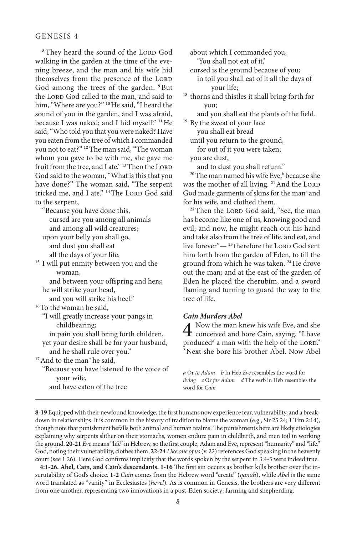<sup>8</sup>They heard the sound of the LORD God walking in the garden at the time of the evening breeze, and the man and his wife hid themselves from the presence of the LORD God among the trees of the garden. **<sup>9</sup>**But the LORD God called to the man, and said to him, "Where are you?" **<sup>10</sup>**He said, "I heard the sound of you in the garden, and I was afraid, because I was naked; and I hid myself." **<sup>11</sup>**He said, "Who told you that you were naked? Have you eaten from the tree of which I commanded you not to eat?" **<sup>12</sup>**The man said, "The woman whom you gave to be with me, she gave me fruit from the tree, and I ate."<sup>13</sup>Then the LORD God said to the woman, "What is this that you have done?" The woman said, "The serpent tricked me, and I ate." <sup>14</sup>The LORD God said to the serpent,

"Because you have done this, cursed are you among all animals and among all wild creatures; upon your belly you shall go, and dust you shall eat all the days of your life. **<sup>15</sup>** I will put enmity between you and the woman, and between your offspring and hers; he will strike your head, and you will strike his heel." **<sup>16</sup>**To the woman he said, "I will greatly increase your pangs in childbearing; in pain you shall bring forth children, yet your desire shall be for your husband, and he shall rule over you." **<sup>17</sup>**And to the man*<sup>a</sup>* he said, "Because you have listened to the voice of your wife, and have eaten of the tree

about which I commanded you, 'You shall not eat of it,'

cursed is the ground because of you;

in toil you shall eat of it all the days of your life;

**<sup>18</sup>** thorns and thistles it shall bring forth for you;

and you shall eat the plants of the field.

<sup>19</sup> By the sweat of your face you shall eat bread

until you return to the ground,

for out of it you were taken;

you are dust,

and to dust you shall return."

**<sup>20</sup>**The man named his wife Eve,*<sup>b</sup>* because she was the mother of all living. <sup>21</sup> And the LORD God made garments of skins for the man<sup>c</sup> and for his wife, and clothed them.

<sup>22</sup>Then the LORD God said, "See, the man has become like one of us, knowing good and evil; and now, he might reach out his hand and take also from the tree of life, and eat, and live forever"- <sup>23</sup> therefore the LORD God sent him forth from the garden of Eden, to till the ground from which he was taken. **<sup>24</sup>**He drove out the man; and at the east of the garden of Eden he placed the cherubim, and a sword flaming and turning to guard the way to the tree of life.

#### *Cain Murders Abel*

 $\overline{4}$  Now the man knew his wife Eve, and she  $\boldsymbol{\pm}$  conceived and bore Cain, saying, "I have produced<sup>d</sup> a man with the help of the Lord." **<sup>2</sup>**Next she bore his brother Abel. Now Abel

*a* Or *to Adam b* In Heb *Eve* resembles the word for *living c* Or *for Adam d* The verb in Heb resembles the word for *Cain*

**8-19** Equipped with their newfound knowledge, the first humans now experience fear, vulnerability, and a breakdown in relationships. It is common in the history of tradition to blame the woman (e.g., Sir 25:24; 1 Tim 2:14), though note that punishment befalls both animal and human realms. The punishments here are likely etiologies explaining why serpents slither on their stomachs, women endure pain in childbirth, and men toil in working the ground. **20-21** *Eve* means "life" in Hebrew, so the first couple, Adam and Eve, represent "humanity" and "life." God, noting their vulnerability, clothes them. **22-24** *Like one of us* (v. 22) references God speaking in the heavenly court (see 1:26). Here God confirms implicitly that the words spoken by the serpent in 3:4-5 were indeed true.

**4:1-26. Abel, Cain, and Cain's descendants. 1-16** The first sin occurs as brother kills brother over the inscrutability of God's choice. **1-2** *Cain* comes from the Hebrew word "create" (*qanah*), while *Abel* is the same word translated as "vanity" in Ecclesiastes (*hevel*). As is common in Genesis, the brothers are very different from one another, representing two innovations in a post-Eden society: farming and shepherding.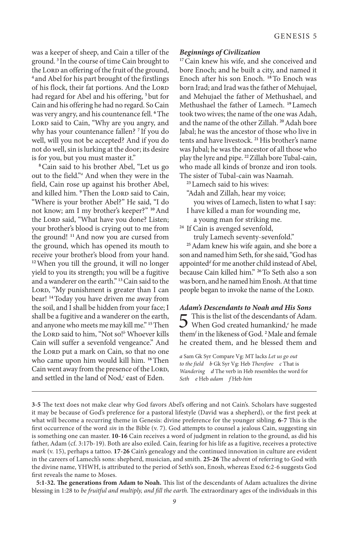was a keeper of sheep, and Cain a tiller of the ground. **<sup>3</sup>** In the course of time Cain brought to the Lorp an offering of the fruit of the ground, **<sup>4</sup>** and Abel for his part brought of the firstlings of his flock, their fat portions. And the LORD had regard for Abel and his offering, **<sup>5</sup>** but for Cain and his offering he had no regard. So Cain was very angry, and his countenance fell. **<sup>6</sup>**The LORD said to Cain, "Why are you angry, and why has your countenance fallen? **<sup>7</sup>** If you do well, will you not be accepted? And if you do not do well, sin is lurking at the door; its desire is for you, but you must master it."

**<sup>8</sup>**Cain said to his brother Abel, "Let us go out to the field."*<sup>a</sup>* And when they were in the field, Cain rose up against his brother Abel, and killed him. <sup>9</sup>Then the LORD said to Cain, "Where is your brother Abel?" He said, "I do not know; am I my brother's keeper?" **<sup>10</sup>**And the Lorp said, "What have you done? Listen; your brother's blood is crying out to me from the ground! **<sup>11</sup>**And now you are cursed from the ground, which has opened its mouth to receive your brother's blood from your hand. **<sup>12</sup>**When you till the ground, it will no longer yield to you its strength; you will be a fugitive and a wanderer on the earth." **<sup>13</sup>**Cain said to the LORD, "My punishment is greater than I can bear! **<sup>14</sup>**Today you have driven me away from the soil, and I shall be hidden from your face; I shall be a fugitive and a wanderer on the earth, and anyone who meets me may kill me." **<sup>15</sup>**Then the Lorp said to him, "Not so!<sup>b</sup> Whoever kills Cain will suffer a sevenfold vengeance." And the Lorp put a mark on Cain, so that no one who came upon him would kill him. **<sup>16</sup>**Then Cain went away from the presence of the LORD, and settled in the land of Nod,<sup>c</sup> east of Eden.

#### *Beginnings of Civilization*

<sup>17</sup>Cain knew his wife, and she conceived and bore Enoch; and he built a city, and named it Enoch after his son Enoch. **<sup>18</sup>**To Enoch was born Irad; and Irad was the father of Mehujael, and Mehujael the father of Methushael, and Methushael the father of Lamech. **<sup>19</sup>**Lamech took two wives; the name of the one was Adah, and the name of the other Zillah. **<sup>20</sup>**Adah bore Jabal; he was the ancestor of those who live in tents and have livestock. **<sup>21</sup>**His brother's name was Jubal; he was the ancestor of all those who play the lyre and pipe. **<sup>22</sup>**Zillah bore Tubal-cain, who made all kinds of bronze and iron tools. The sister of Tubal-cain was Naamah.

**<sup>23</sup>**Lamech said to his wives:

"Adah and Zillah, hear my voice;

- you wives of Lamech, listen to what I say: I have killed a man for wounding me,
- a young man for striking me.

**<sup>24</sup>** If Cain is avenged sevenfold,

truly Lamech seventy-sevenfold."

**<sup>25</sup>**Adam knew his wife again, and she bore a son and named him Seth, for she said, "God has appointed*<sup>d</sup>* for me another child instead of Abel, because Cain killed him." **<sup>26</sup>**To Seth also a son was born, and he named him Enosh. At that time people began to invoke the name of the LORD.

#### *Adam's Descendants to Noah and His Sons*

 $5$  This is the list of the descendants of Adam.<br>When God created humankind,<sup>e</sup> he made them*<sup>f</sup>* in the likeness of God. **<sup>2</sup>**Male and female he created them, and he blessed them and

*a* Sam Gk Syr Compare Vg: MT lacks *Let us go out to the field b* Gk Syr Vg: Heb *Therefore c* That is *Wandering d* The verb in Heb resembles the word for *Seth e* Heb *adam f* Heb *him*

**<sup>3-5</sup>** The text does not make clear why God favors Abel's offering and not Cain's. Scholars have suggested it may be because of God's preference for a pastoral lifestyle (David was a shepherd), or the first peek at what will become a recurring theme in Genesis: divine preference for the younger sibling. **6-7** This is the first occurrence of the word *sin* in the Bible (v. 7). God attempts to counsel a jealous Cain, suggesting sin is something one can master. **10-16** Cain receives a word of judgment in relation to the ground, as did his father, Adam (cf. 3:17b-19). Both are also exiled. Cain, fearing for his life as a fugitive, receives a protective *mark* (v. 15), perhaps a tattoo. **17-26** Cain's genealogy and the continued innovation in culture are evident in the careers of Lamech's sons: shepherd, musician, and smith. **25-26** The advent of referring to God with the divine name, YHWH, is attributed to the period of Seth's son, Enosh, whereas Exod 6:2-6 suggests God first reveals the name to Moses.

**<sup>5:1-32.</sup> The generations from Adam to Noah.** This list of the descendants of Adam actualizes the divine blessing in 1:28 to *be fruitful and multiply, and fill the earth.* The extraordinary ages of the individuals in this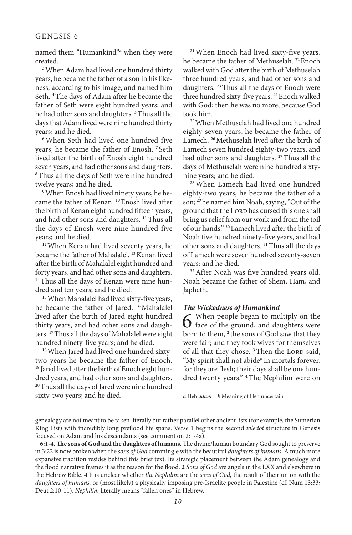named them "Humankind"<sup>*a*</sup> when they were created.

**<sup>3</sup>**When Adam had lived one hundred thirty years, he became the father of a son in his likeness, according to his image, and named him Seth. **<sup>4</sup>**The days of Adam after he became the father of Seth were eight hundred years; and he had other sons and daughters. **<sup>5</sup>**Thus all the days that Adam lived were nine hundred thirty years; and he died.

**<sup>6</sup>**When Seth had lived one hundred five years, he became the father of Enosh. **<sup>7</sup>** Seth lived after the birth of Enosh eight hundred seven years, and had other sons and daughters. **<sup>8</sup>**Thus all the days of Seth were nine hundred twelve years; and he died.

**9**When Enosh had lived ninety years, he became the father of Kenan. **<sup>10</sup>**Enosh lived after the birth of Kenan eight hundred fifteen years, and had other sons and daughters. **<sup>11</sup>**Thus all the days of Enosh were nine hundred five years; and he died.

**<sup>12</sup>**When Kenan had lived seventy years, he became the father of Mahalalel. **<sup>13</sup>**Kenan lived after the birth of Mahalalel eight hundred and forty years, and had other sons and daughters. **14**Thus all the days of Kenan were nine hundred and ten years; and he died.

**<sup>15</sup>**When Mahalalel had lived sixty-five years, he became the father of Jared. **<sup>16</sup>**Mahalalel lived after the birth of Jared eight hundred thirty years, and had other sons and daughters. **<sup>17</sup>**Thus all the days of Mahalalel were eight hundred ninety-five years; and he died.

**18**When Jared had lived one hundred sixtytwo years he became the father of Enoch. **<sup>19</sup>** Jared lived after the birth of Enoch eight hundred years, and had other sons and daughters. **<sup>20</sup>**Thus all the days of Jared were nine hundred sixty-two years; and he died.

**<sup>21</sup>**When Enoch had lived sixty-five years, he became the father of Methuselah. **<sup>22</sup>**Enoch walked with God after the birth of Methuselah three hundred years, and had other sons and daughters. **<sup>23</sup>**Thus all the days of Enoch were three hundred sixty-five years. **<sup>24</sup>**Enoch walked with God; then he was no more, because God took him.

**<sup>25</sup>**When Methuselah had lived one hundred eighty-seven years, he became the father of Lamech. **<sup>26</sup>**Methuselah lived after the birth of Lamech seven hundred eighty-two years, and had other sons and daughters. **<sup>27</sup>**Thus all the days of Methuselah were nine hundred sixtynine years; and he died.

**<sup>28</sup>**When Lamech had lived one hundred eighty-two years, he became the father of a son; **<sup>29</sup>**he named him Noah, saying, "Out of the ground that the LORD has cursed this one shall bring us relief from our work and from the toil of our hands." **<sup>30</sup>**Lamech lived after the birth of Noah five hundred ninety-five years, and had other sons and daughters. **<sup>31</sup>**Thus all the days of Lamech were seven hundred seventy-seven years; and he died.

**<sup>32</sup>**After Noah was five hundred years old, Noah became the father of Shem, Ham, and Japheth.

#### *The Wickedness of Humankind*

 $\bf{6}$  When people began to multiply on the face of the ground, and daughters were born to them, **<sup>2</sup>** the sons of God saw that they were fair; and they took wives for themselves of all that they chose. <sup>3</sup>Then the Lorp said, "My spirit shall not abide*<sup>b</sup>* in mortals forever, for they are flesh; their days shall be one hundred twenty years." **<sup>4</sup>**The Nephilim were on

*a* Heb *adam b* Meaning of Heb uncertain

genealogy are not meant to be taken literally but rather parallel other ancient lists (for example, the Sumerian King List) with incredibly long preflood life spans. Verse 1 begins the second *toledot* structure in Genesis focused on Adam and his descendants (see comment on 2:1-4a).

**6:1-4. The sons of God and the daughters of humans.** The divine/human boundary God sought to preserve in 3:22 is now broken when the *sons of God* commingle with the beautiful *daughters of humans*. A much more expansive tradition resides behind this brief text. Its strategic placement between the Adam genealogy and the flood narrative frames it as the reason for the flood. **2** *Sons of God* are angels in the LXX and elsewhere in the Hebrew Bible. **4** It is unclear whether *the Nephilim* are the *sons of God,* the result of their union with the *daughters of humans,* or (most likely) a physically imposing pre-Israelite people in Palestine (cf. Num 13:33; Deut 2:10-11). *Nephilim* literally means "fallen ones" in Hebrew.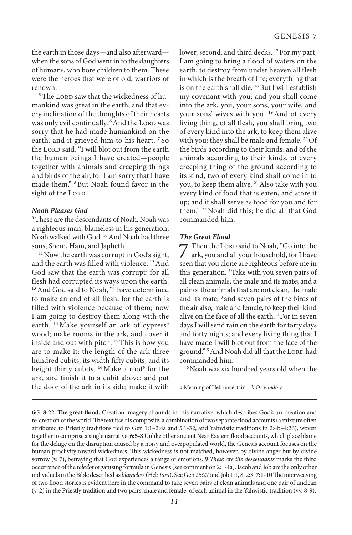the earth in those days—and also afterward when the sons of God went in to the daughters of humans, who bore children to them. These were the heroes that were of old, warriors of renown.

<sup>5</sup>The LORD saw that the wickedness of humankind was great in the earth, and that every inclination of the thoughts of their hearts was only evil continually. <sup>6</sup>And the LORD was sorry that he had made humankind on the earth, and it grieved him to his heart. **<sup>7</sup>** So the LORD said, "I will blot out from the earth the human beings I have created—people together with animals and creeping things and birds of the air, for I am sorry that I have made them." **<sup>8</sup>**But Noah found favor in the sight of the LORD.

#### *Noah Pleases God*

**<sup>9</sup>**These are the descendants of Noah. Noah was a righteous man, blameless in his generation; Noah walked with God. **<sup>10</sup>**And Noah had three sons, Shem, Ham, and Japheth.

<sup>11</sup> Now the earth was corrupt in God's sight, and the earth was filled with violence. **<sup>12</sup>**And God saw that the earth was corrupt; for all flesh had corrupted its ways upon the earth. <sup>13</sup> And God said to Noah, "I have determined to make an end of all flesh, for the earth is filled with violence because of them; now I am going to destroy them along with the earth. **<sup>14</sup>** Make yourself an ark of cypress*<sup>a</sup>* wood; make rooms in the ark, and cover it inside and out with pitch. **<sup>15</sup>**This is how you are to make it: the length of the ark three hundred cubits, its width fifty cubits, and its height thirty cubits. **<sup>16</sup>**Make a roof*<sup>b</sup>* for the ark, and finish it to a cubit above; and put the door of the ark in its side; make it with

lower, second, and third decks. **<sup>17</sup>** For my part, I am going to bring a flood of waters on the earth, to destroy from under heaven all flesh in which is the breath of life; everything that is on the earth shall die. **<sup>18</sup>**But I will establish my covenant with you; and you shall come into the ark, you, your sons, your wife, and your sons' wives with you. **<sup>19</sup>**And of every living thing, of all flesh, you shall bring two of every kind into the ark, to keep them alive with you; they shall be male and female. **<sup>20</sup>**Of the birds according to their kinds, and of the animals according to their kinds, of every creeping thing of the ground according to its kind, two of every kind shall come in to you, to keep them alive. **<sup>21</sup>**Also take with you every kind of food that is eaten, and store it up; and it shall serve as food for you and for them." **<sup>22</sup>**Noah did this; he did all that God commanded him.

#### *The Great Flood*

7 Then the Lord said to Noah, "Go into the ark, you and all your household, for I have seen that you alone are righteous before me in this generation. **<sup>2</sup>**Take with you seven pairs of all clean animals, the male and its mate; and a pair of the animals that are not clean, the male and its mate; **<sup>3</sup>** and seven pairs of the birds of the air also, male and female, to keep their kind alive on the face of all the earth. **<sup>4</sup>**For in seven days I will send rain on the earth for forty days and forty nights; and every living thing that I have made I will blot out from the face of the ground."<sup>5</sup> And Noah did all that the LORD had commanded him.

**<sup>6</sup>**Noah was six hundred years old when the

*a* Meaning of Heb uncertain *b* Or *window*

**<sup>6:5–8:22.</sup> The great flood.** Creation imagery abounds in this narrative, which describes God's un-creation and re-creation of the world. The text itself is composite, a combination of two separate flood accounts (a mixture often attributed to Priestly traditions tied to Gen 1:1–2:4a and 5:1-32, and Yahwistic traditions in 2:4b–4:26), woven together to comprise a single narrative. **6:5-8** Unlike other ancient Near Eastern flood accounts, which place blame for the deluge on the disruption caused by a noisy and overpopulated world, the Genesis account focuses on the human proclivity toward wickedness. This wickedness is not matched, however, by divine anger but by divine sorrow (v. 7), betraying that God experiences a range of emotions. **9** *These are the descendants* marks the third occurrence of the *toledot* organizing formula in Genesis (see comment on 2:1-4a). Jacob and Job are the only other individuals in the Bible described as *blameless* (Heb *tam*). See Gen 25:27 and Job 1:1, 8; 2:3. **7:1-10** The interweaving of two flood stories is evident here in the command to take seven pairs of clean animals and one pair of unclean (v. 2) in the Priestly tradition and two pairs, male and female, of each animal in the Yahwistic tradition (vv. 8-9).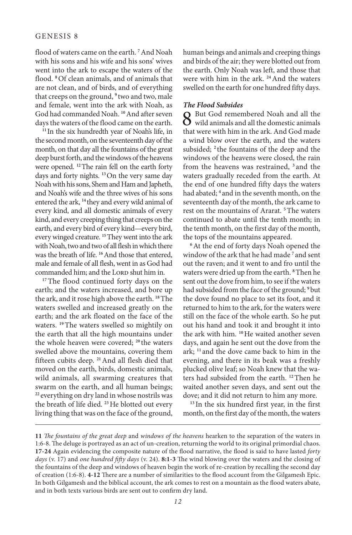flood of waters came on the earth. **<sup>7</sup>**And Noah with his sons and his wife and his sons' wives went into the ark to escape the waters of the flood. **<sup>8</sup>**Of clean animals, and of animals that are not clean, and of birds, and of everything that creeps on the ground, **<sup>9</sup>** two and two, male and female, went into the ark with Noah, as God had commanded Noah. **<sup>10</sup>**And after seven days the waters of the flood came on the earth.

**<sup>11</sup>** In the six hundredth year of Noah's life, in the second month, on the seventeenth day of the month, on that day all the fountains of the great deep burst forth, and the windows of the heavens were opened. **<sup>12</sup>**The rain fell on the earth forty days and forty nights. **<sup>13</sup>**On the very same day Noah with his sons, Shem and Ham and Japheth, and Noah's wife and the three wives of his sons entered the ark, **<sup>14</sup>** they and every wild animal of every kind, and all domestic animals of every kind, and every creeping thing that creeps on the earth, and every bird of every kind—every bird, every winged creature. **<sup>15</sup>**They went into the ark with Noah, two and two of all flesh in which there was the breath of life. **<sup>16</sup>**And those that entered, male and female of all flesh, went in as God had commanded him; and the LORD shut him in.

<sup>17</sup>The flood continued forty days on the earth; and the waters increased, and bore up the ark, and it rose high above the earth. **<sup>18</sup>**The waters swelled and increased greatly on the earth; and the ark floated on the face of the waters. **<sup>19</sup>**The waters swelled so mightily on the earth that all the high mountains under the whole heaven were covered; **<sup>20</sup>** the waters swelled above the mountains, covering them fifteen cubits deep. **<sup>21</sup>**And all flesh died that moved on the earth, birds, domestic animals, wild animals, all swarming creatures that swarm on the earth, and all human beings; **<sup>22</sup>** everything on dry land in whose nostrils was the breath of life died. **<sup>23</sup>**He blotted out every living thing that was on the face of the ground, human beings and animals and creeping things and birds of the air; they were blotted out from the earth. Only Noah was left, and those that were with him in the ark. **<sup>24</sup>**And the waters swelled on the earth for one hundred fifty days.

#### *The Flood Subsides*

 $8$  But God remembered Noah and all the wild animals and all the domestic animals that connectively high the condition of  $\alpha$ that were with him in the ark. And God made a wind blow over the earth, and the waters subsided; **<sup>2</sup>** the fountains of the deep and the windows of the heavens were closed, the rain from the heavens was restrained, **<sup>3</sup>** and the waters gradually receded from the earth. At the end of one hundred fifty days the waters had abated; **<sup>4</sup>** and in the seventh month, on the seventeenth day of the month, the ark came to rest on the mountains of Ararat. **<sup>5</sup>**The waters continued to abate until the tenth month; in the tenth month, on the first day of the month, the tops of the mountains appeared.

<sup>6</sup>At the end of forty days Noah opened the window of the ark that he had made **<sup>7</sup>** and sent out the raven; and it went to and fro until the waters were dried up from the earth. **<sup>8</sup>**Then he sent out the dove from him, to see if the waters had subsided from the face of the ground; **<sup>9</sup>**but the dove found no place to set its foot, and it returned to him to the ark, for the waters were still on the face of the whole earth. So he put out his hand and took it and brought it into the ark with him. **<sup>10</sup>**He waited another seven days, and again he sent out the dove from the ark; **<sup>11</sup>** and the dove came back to him in the evening, and there in its beak was a freshly plucked olive leaf; so Noah knew that the waters had subsided from the earth. **<sup>12</sup>**Then he waited another seven days, and sent out the dove; and it did not return to him any more.

**<sup>13</sup>** In the six hundred first year, in the first month, on the first day of the month, the waters

**<sup>11</sup>** *The fountains of the great deep* and *windows of the heavens* hearken to the separation of the waters in 1:6-8. The deluge is portrayed as an act of un-creation, returning the world to its original primordial chaos. **17-24** Again evidencing the composite nature of the flood narrative, the flood is said to have lasted *forty days* (v. 17) and *one hundred fifty days* (v. 24). **8:1-3** The wind blowing over the waters and the closing of the fountains of the deep and windows of heaven begin the work of re-creation by recalling the second day of creation (1:6-8). **4-12** There are a number of similarities to the flood account from the Gilgamesh Epic. In both Gilgamesh and the biblical account, the ark comes to rest on a mountain as the flood waters abate, and in both texts various birds are sent out to confirm dry land.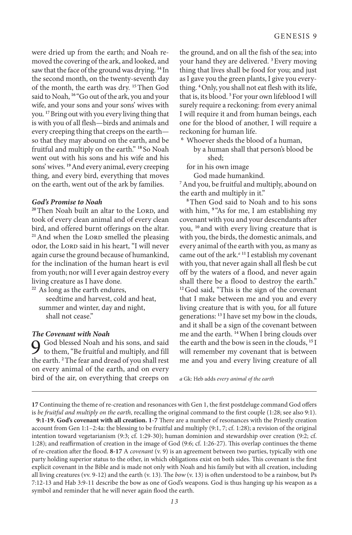were dried up from the earth; and Noah removed the covering of the ark, and looked, and saw that the face of the ground was drying. **<sup>14</sup>** In the second month, on the twenty-seventh day of the month, the earth was dry. **<sup>15</sup>**Then God said to Noah, <sup>16</sup> "Go out of the ark, you and your wife, and your sons and your sons' wives with you. **<sup>17</sup>**Bring out with you every living thing that is with you of all flesh—birds and animals and every creeping thing that creeps on the earth so that they may abound on the earth, and be fruitful and multiply on the earth." **<sup>18</sup>** So Noah went out with his sons and his wife and his sons' wives. **<sup>19</sup>**And every animal, every creeping thing, and every bird, everything that moves on the earth, went out of the ark by families.

#### *God's Promise to Noah*

<sup>20</sup>Then Noah built an altar to the LORD, and took of every clean animal and of every clean bird, and offered burnt offerings on the altar. <sup>21</sup> And when the LORD smelled the pleasing odor, the LORD said in his heart, "I will never again curse the ground because of humankind, for the inclination of the human heart is evil from youth; nor will I ever again destroy every living creature as I have done.

**<sup>22</sup>** As long as the earth endures, seedtime and harvest, cold and heat, summer and winter, day and night, shall not cease."

#### *The Covenant with Noah*

9 God blessed Noah and his sons, and said to them, "Be fruitful and multiply, and fill the earth. **<sup>2</sup>**The fear and dread of you shall rest on every animal of the earth, and on every bird of the air, on everything that creeps on

the ground, and on all the fish of the sea; into your hand they are delivered. **<sup>3</sup>**Every moving thing that lives shall be food for you; and just as I gave you the green plants, I give you everything. **<sup>4</sup>**Only, you shall not eat flesh with its life, that is, its blood. **<sup>5</sup>**For your own lifeblood I will surely require a reckoning: from every animal I will require it and from human beings, each one for the blood of another, I will require a reckoning for human life.

**<sup>6</sup>** Whoever sheds the blood of a human, by a human shall that person's blood be shed;

for in his own image

God made humankind.

**<sup>7</sup>**And you, be fruitful and multiply, abound on the earth and multiply in it."

**<sup>8</sup>**Then God said to Noah and to his sons with him, <sup>9</sup> "As for me, I am establishing my covenant with you and your descendants after you, **<sup>10</sup>** and with every living creature that is with you, the birds, the domestic animals, and every animal of the earth with you, as many as came out of the ark.*<sup>a</sup>* **<sup>11</sup>** I establish my covenant with you, that never again shall all flesh be cut off by the waters of a flood, and never again shall there be a flood to destroy the earth." **<sup>12</sup>**God said, "This is the sign of the covenant that I make between me and you and every living creature that is with you, for all future generations: **<sup>13</sup>** I have set my bow in the clouds, and it shall be a sign of the covenant between me and the earth. **<sup>14</sup>**When I bring clouds over the earth and the bow is seen in the clouds, **<sup>15</sup>** I will remember my covenant that is between me and you and every living creature of all

*a* Gk: Heb adds *every animal of the earth*

**9:1-19. God's covenant with all creation. 1-7** There are a number of resonances with the Priestly creation account from Gen 1:1–2:4a: the blessing to be fruitful and multiply (9:1, 7; cf. 1:28); a revision of the original intention toward vegetarianism (9:3; cf. 1:29-30); human dominion and stewardship over creation (9:2; cf. 1:28); and reaffirmation of creation in the image of God (9:6; cf. 1:26-27). This overlap continues the theme of re-creation after the flood. **8-17** A *covenant* (v. 9) is an agreement between two parties, typically with one party holding superior status to the other, in which obligations exist on both sides. This covenant is the first explicit covenant in the Bible and is made not only with Noah and his family but with all creation, including all living creatures (vv. 9-12) and the earth (v. 13). The *bow* (v. 13) is often understood to be a rainbow, but Ps 7:12-13 and Hab 3:9-11 describe the bow as one of God's weapons. God is thus hanging up his weapon as a symbol and reminder that he will never again flood the earth.

**<sup>17</sup>** Continuing the theme of re-creation and resonances with Gen 1, the first postdeluge command God offers is *be fruitful and multiply on the earth*, recalling the original command to the first couple (1:28; see also 9:1).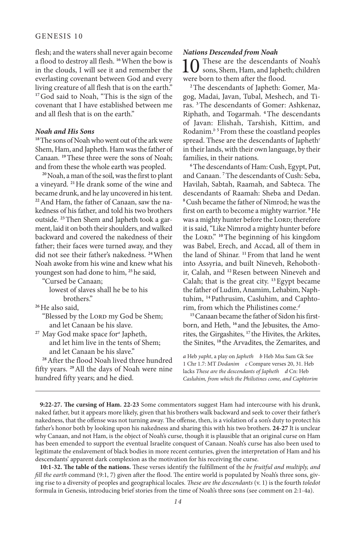flesh; and the waters shall never again become a flood to destroy all flesh. **<sup>16</sup>**When the bow is in the clouds, I will see it and remember the everlasting covenant between God and every living creature of all flesh that is on the earth." <sup>17</sup>God said to Noah, "This is the sign of the covenant that I have established between me and all flesh that is on the earth."

#### *Noah and His Sons*

**<sup>18</sup>**The sons of Noah who went out of the ark were Shem, Ham, and Japheth. Ham was the father of Canaan. **<sup>19</sup>**These three were the sons of Noah; and from these the whole earth was peopled.

**<sup>20</sup>**Noah, a man of the soil, was the first to plant a vineyard. **<sup>21</sup>**He drank some of the wine and became drunk, and he lay uncovered in his tent. **22**And Ham, the father of Canaan, saw the nakedness of his father, and told his two brothers outside. **23**Then Shem and Japheth took a garment, laid it on both their shoulders, and walked backward and covered the nakedness of their father; their faces were turned away, and they did not see their father's nakedness. **<sup>24</sup>**When Noah awoke from his wine and knew what his youngest son had done to him, **<sup>25</sup>**he said,

"Cursed be Canaan;

- lowest of slaves shall he be to his brothers."
- **<sup>26</sup>**He also said,
	- "Blessed by the LORD my God be Shem; and let Canaan be his slave.
- **<sup>27</sup>** May God make space for*<sup>a</sup>* Japheth, and let him live in the tents of Shem; and let Canaan be his slave."

**<sup>28</sup>**After the flood Noah lived three hundred fifty years. **<sup>29</sup>**All the days of Noah were nine hundred fifty years; and he died.

#### *Nations Descended from Noah*

These are the descendants of Noah's sons, Shem, Ham, and Japheth; children were born to them after the flood.

**2**The descendants of Japheth: Gomer, Magog, Madai, Javan, Tubal, Meshech, and Tiras. **<sup>3</sup>**The descendants of Gomer: Ashkenaz, Riphath, and Togarmah. **<sup>4</sup>**The descendants of Javan: Elishah, Tarshish, Kittim, and Rodanim.*<sup>b</sup>* **<sup>5</sup>**From these the coastland peoples spread. These are the descendants of Japheth*<sup>c</sup>* in their lands, with their own language, by their families, in their nations.

**<sup>6</sup>**The descendants of Ham: Cush, Egypt, Put, and Canaan. **<sup>7</sup>**The descendants of Cush: Seba, Havilah, Sabtah, Raamah, and Sabteca. The descendants of Raamah: Sheba and Dedan. **<sup>8</sup>**Cush became the father of Nimrod; he was the first on earth to become a mighty warrior. **<sup>9</sup>**He was a mighty hunter before the LORD; therefore it is said, "Like Nimrod a mighty hunter before the Lord." **<sup>10</sup>**The beginning of his kingdom was Babel, Erech, and Accad, all of them in the land of Shinar. **<sup>11</sup>**From that land he went into Assyria, and built Nineveh, Rehobothir, Calah, and **<sup>12</sup>**Resen between Nineveh and Calah; that is the great city. **<sup>13</sup>**Egypt became the father of Ludim, Anamim, Lehabim, Naphtuhim, **14**Pathrusim, Casluhim, and Caphtorim, from which the Philistines come.*<sup>d</sup>*

**15**Canaan became the father of Sidon his firstborn, and Heth, **<sup>16</sup>** and the Jebusites, the Amorites, the Girgashites, **<sup>17</sup>** the Hivites, the Arkites, the Sinites, **<sup>18</sup>** the Arvadites, the Zemarites, and

*a* Heb *yapht*, a play on *Japheth b* Heb Mss Sam Gk See 1 Chr 1.7: MT *Dodanim c* Compare verses 20, 31. Heb lacks *These are the descendants of Japheth d* Cn: Heb *Casluhim, from which the Philistines come, and Caphtorim*

**9:22-27. The cursing of Ham. 22-23** Some commentators suggest Ham had intercourse with his drunk, naked father, but it appears more likely, given that his brothers walk backward and seek to cover their father's nakedness, that the offense was not turning away. The offense, then, is a violation of a son's duty to protect his father's honor both by looking upon his nakedness and sharing this with his two brothers. **24-27** It is unclear why Canaan, and not Ham, is the object of Noah's curse, though it is plausible that an original curse on Ham has been emended to support the eventual Israelite conquest of Canaan. Noah's curse has also been used to legitimate the enslavement of black bodies in more recent centuries, given the interpretation of Ham and his descendants' apparent dark complexion as the motivation for his receiving the curse.

**10:1-32. The table of the nations.** These verses identify the fulfillment of the *be fruitful and multiply, and fill the earth* command (9:1, 7) given after the flood. The entire world is populated by Noah's three sons, giving rise to a diversity of peoples and geographical locales. *These are the descendants* (v. 1) is the fourth *toledot* formula in Genesis, introducing brief stories from the time of Noah's three sons (see comment on 2:1-4a).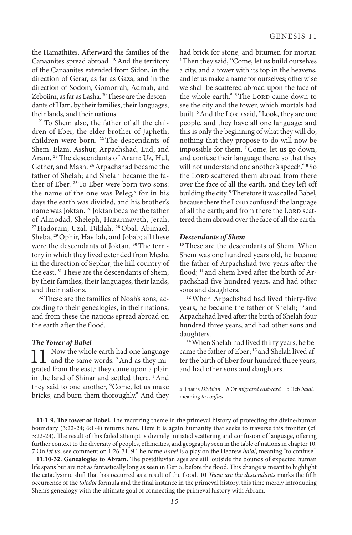the Hamathites. Afterward the families of the Canaanites spread abroad. **<sup>19</sup>**And the territory of the Canaanites extended from Sidon, in the direction of Gerar, as far as Gaza, and in the direction of Sodom, Gomorrah, Admah, and Zeboiim, as far as Lasha. **20**These are the descendants of Ham, by their families, their languages, their lands, and their nations.

**21**To Shem also, the father of all the children of Eber, the elder brother of Japheth, children were born. **<sup>22</sup>**The descendants of Shem: Elam, Asshur, Arpachshad, Lud, and Aram. **<sup>23</sup>**The descendants of Aram: Uz, Hul, Gether, and Mash. **<sup>24</sup>**Arpachshad became the father of Shelah; and Shelah became the father of Eber. **<sup>25</sup>**To Eber were born two sons: the name of the one was Peleg,*<sup>a</sup>* for in his days the earth was divided, and his brother's name was Joktan. **<sup>26</sup>** Joktan became the father of Almodad, Sheleph, Hazarmaveth, Jerah, **<sup>27</sup>**Hadoram, Uzal, Diklah, **<sup>28</sup>**Obal, Abimael, Sheba, **<sup>29</sup>**Ophir, Havilah, and Jobab; all these were the descendants of Joktan. **30**The territory in which they lived extended from Mesha in the direction of Sephar, the hill country of the east. **<sup>31</sup>**These are the descendants of Shem, by their families, their languages, their lands, and their nations.

**32**These are the families of Noah's sons, according to their genealogies, in their nations; and from these the nations spread abroad on the earth after the flood.

#### *The Tower of Babel*

 $\prod_{n=1}^{\infty}$  Now the whole earth had one language and the same words. <sup>2</sup>And as they migrated from the east,<sup>b</sup> they came upon a plain in the land of Shinar and settled there. **<sup>3</sup>**And they said to one another, "Come, let us make bricks, and burn them thoroughly." And they

had brick for stone, and bitumen for mortar. **<sup>4</sup>**Then they said, "Come, let us build ourselves a city, and a tower with its top in the heavens, and let us make a name for ourselves; otherwise we shall be scattered abroad upon the face of the whole earth." <sup>5</sup>The Lorp came down to see the city and the tower, which mortals had built. <sup>6</sup> And the LORD said, "Look, they are one people, and they have all one language; and this is only the beginning of what they will do; nothing that they propose to do will now be impossible for them. **<sup>7</sup>**Come, let us go down, and confuse their language there, so that they will not understand one another's speech." **<sup>8</sup>** So the LORD scattered them abroad from there over the face of all the earth, and they left off building the city. **<sup>9</sup>**Therefore it was called Babel, because there the Lorp confused<sup>c</sup> the language of all the earth; and from there the LORD scattered them abroad over the face of all the earth.

#### *Descendants of Shem*

**<sup>10</sup>**These are the descendants of Shem. When Shem was one hundred years old, he became the father of Arpachshad two years after the flood; **<sup>11</sup>** and Shem lived after the birth of Arpachshad five hundred years, and had other sons and daughters.

**<sup>12</sup>**When Arpachshad had lived thirty-five years, he became the father of Shelah; **<sup>13</sup>** and Arpachshad lived after the birth of Shelah four hundred three years, and had other sons and daughters.

**14**When Shelah had lived thirty years, he became the father of Eber; **<sup>15</sup>** and Shelah lived after the birth of Eber four hundred three years, and had other sons and daughters.

*a* That is *Division b* Or *migrated eastward c* Heb *balal*, meaning *to confuse*

**11:1-9. The tower of Babel.** The recurring theme in the primeval history of protecting the divine/human boundary (3:22-24; 6:1-4) returns here. Here it is again humanity that seeks to traverse this frontier (cf. 3:22-24). The result of this failed attempt is divinely initiated scattering and confusion of language, offering further context to the diversity of peoples, ethnicities, and geography seen in the table of nations in chapter 10. **7** On *let us*, see comment on 1:26-31. **9** The name *Babel* is a play on the Hebrew *balal*, meaning "to confuse."

**11:10-32. Genealogies to Abram.** The postdiluvian ages are still outside the bounds of expected human life spans but are not as fantastically long as seen in Gen 5, before the flood. This change is meant to highlight the cataclysmic shift that has occurred as a result of the flood. **10** *These are the descendants* marks the fifth occurrence of the *toledot* formula and the final instance in the primeval history, this time merely introducing Shem's genealogy with the ultimate goal of connecting the primeval history with Abram.